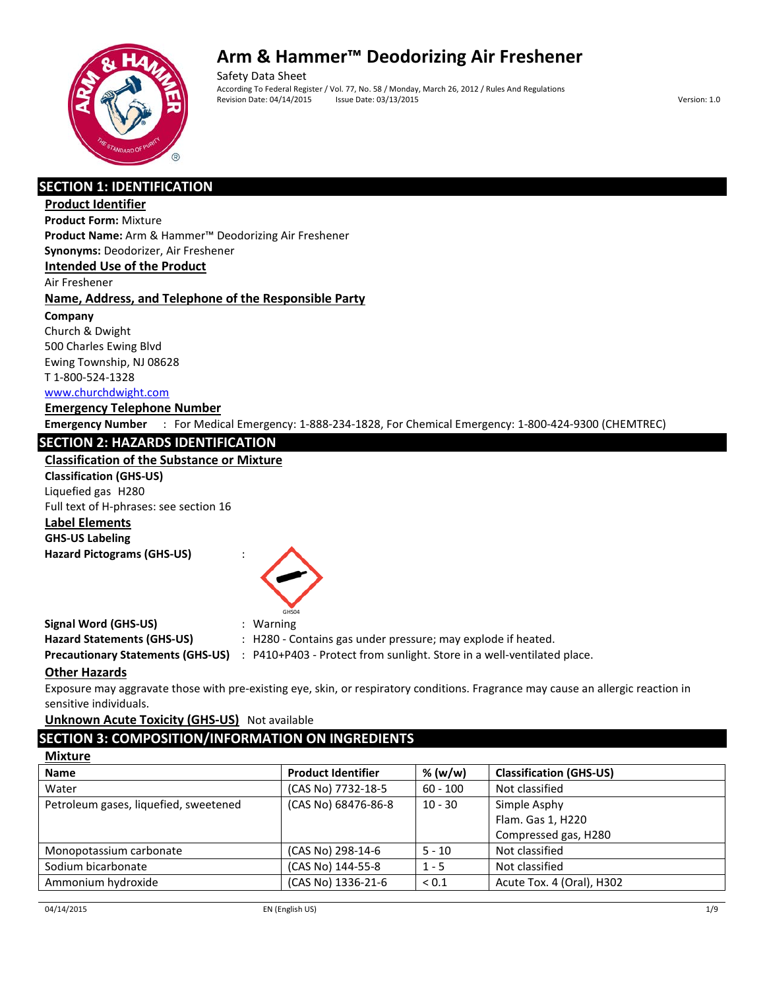

Safety Data Sheet According To Federal Register / Vol. 77, No. 58 / Monday, March 26, 2012 / Rules And Regulations Revision Date: 04/14/2015 Issue Date: 03/13/2015 Issue Date: 03/13/2015

# **SECTION 1: IDENTIFICATION**

### **Product Identifier**

**Product Form:** Mixture

**Product Name:** Arm & Hammer™ Deodorizing Air Freshener

**Synonyms:** Deodorizer, Air Freshener

**Intended Use of the Product**

Air Freshener

## **Name, Address, and Telephone of the Responsible Party**

**Company** 

Church & Dwight 500 Charles Ewing Blvd Ewing Township, NJ 08628 T 1-800-524-1328

# www.churchdwight.com

**Emergency Telephone Number Emergency Number** : For Medical Emergency: 1-888-234-1828, For Chemical Emergency: 1-800-424-9300 (CHEMTREC)

# **SECTION 2: HAZARDS IDENTIFICATION**

## **Classification of the Substance or Mixture**

**Classification (GHS-US)** Liquefied gas H280 Full text of H-phrases: see section 16

**Label Elements GHS-US Labeling Hazard Pictograms (GHS-US)** :



# **Signal Word (GHS-US)** : Warning

**Hazard Statements (GHS-US)** : H280 - Contains gas under pressure; may explode if heated.

**Precautionary Statements (GHS-US)** : P410+P403 - Protect from sunlight. Store in a well-ventilated place.

## **Other Hazards**

Exposure may aggravate those with pre-existing eye, skin, or respiratory conditions. Fragrance may cause an allergic reaction in sensitive individuals.

**Unknown Acute Toxicity (GHS-US)** Not available

# **SECTION 3: COMPOSITION/INFORMATION ON INGREDIENTS**

| <b>Product Identifier</b> | % (w/w)    | <b>Classification (GHS-US)</b> |
|---------------------------|------------|--------------------------------|
| (CAS No) 7732-18-5        | $60 - 100$ | Not classified                 |
| (CAS No) 68476-86-8       | $10 - 30$  | Simple Asphy                   |
|                           |            | Flam. Gas 1, H220              |
|                           |            | Compressed gas, H280           |
| (CAS No) 298-14-6         | $5 - 10$   | Not classified                 |
| (CAS No) 144-55-8         | $1 - 5$    | Not classified                 |
| (CAS No) 1336-21-6        | ${}_{0.1}$ | Acute Tox. 4 (Oral), H302      |
|                           |            |                                |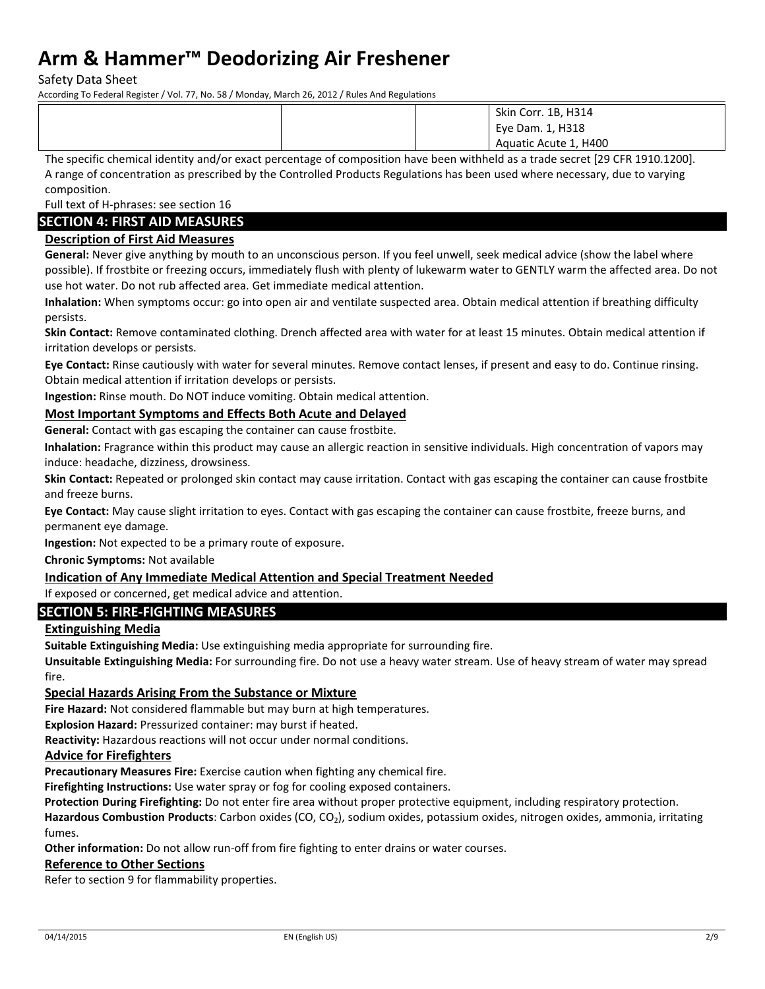Safety Data Sheet

According To Federal Register / Vol. 77, No. 58 / Monday, March 26, 2012 / Rules And Regulations

|  | Skin Corr. 1B, H314   |
|--|-----------------------|
|  | Eye Dam. 1, H318      |
|  | Aquatic Acute 1, H400 |

The specific chemical identity and/or exact percentage of composition have been withheld as a trade secret [29 CFR 1910.1200]. A range of concentration as prescribed by the Controlled Products Regulations has been used where necessary, due to varying composition.

Full text of H-phrases: see section 16

### **SECTION 4: FIRST AID MEASURES**

### **Description of First Aid Measures**

**General:** Never give anything by mouth to an unconscious person. If you feel unwell, seek medical advice (show the label where possible). If frostbite or freezing occurs, immediately flush with plenty of lukewarm water to GENTLY warm the affected area. Do not use hot water. Do not rub affected area. Get immediate medical attention.

**Inhalation:** When symptoms occur: go into open air and ventilate suspected area. Obtain medical attention if breathing difficulty persists.

**Skin Contact:** Remove contaminated clothing. Drench affected area with water for at least 15 minutes. Obtain medical attention if irritation develops or persists.

**Eye Contact:** Rinse cautiously with water for several minutes. Remove contact lenses, if present and easy to do. Continue rinsing. Obtain medical attention if irritation develops or persists.

**Ingestion:** Rinse mouth. Do NOT induce vomiting. Obtain medical attention.

#### **Most Important Symptoms and Effects Both Acute and Delayed**

**General:** Contact with gas escaping the container can cause frostbite.

**Inhalation:** Fragrance within this product may cause an allergic reaction in sensitive individuals. High concentration of vapors may induce: headache, dizziness, drowsiness.

**Skin Contact:** Repeated or prolonged skin contact may cause irritation. Contact with gas escaping the container can cause frostbite and freeze burns.

**Eye Contact:** May cause slight irritation to eyes. Contact with gas escaping the container can cause frostbite, freeze burns, and permanent eye damage.

**Ingestion:** Not expected to be a primary route of exposure.

**Chronic Symptoms:** Not available

### **Indication of Any Immediate Medical Attention and Special Treatment Needed**

# If exposed or concerned, get medical advice and attention.

# **SECTION 5: FIRE-FIGHTING MEASURES**

#### **Extinguishing Media**

**Suitable Extinguishing Media:** Use extinguishing media appropriate for surrounding fire.

**Unsuitable Extinguishing Media:** For surrounding fire. Do not use a heavy water stream. Use of heavy stream of water may spread fire.

#### **Special Hazards Arising From the Substance or Mixture**

**Fire Hazard:** Not considered flammable but may burn at high temperatures.

**Explosion Hazard:** Pressurized container: may burst if heated.

**Reactivity:** Hazardous reactions will not occur under normal conditions.

#### **Advice for Firefighters**

**Precautionary Measures Fire:** Exercise caution when fighting any chemical fire.

**Firefighting Instructions:** Use water spray or fog for cooling exposed containers.

**Protection During Firefighting:** Do not enter fire area without proper protective equipment, including respiratory protection. Hazardous Combustion Products: Carbon oxides (CO, CO<sub>2</sub>), sodium oxides, potassium oxides, nitrogen oxides, ammonia, irritating fumes.

**Other information:** Do not allow run-off from fire fighting to enter drains or water courses.

#### **Reference to Other Sections**

Refer to section 9 for flammability properties.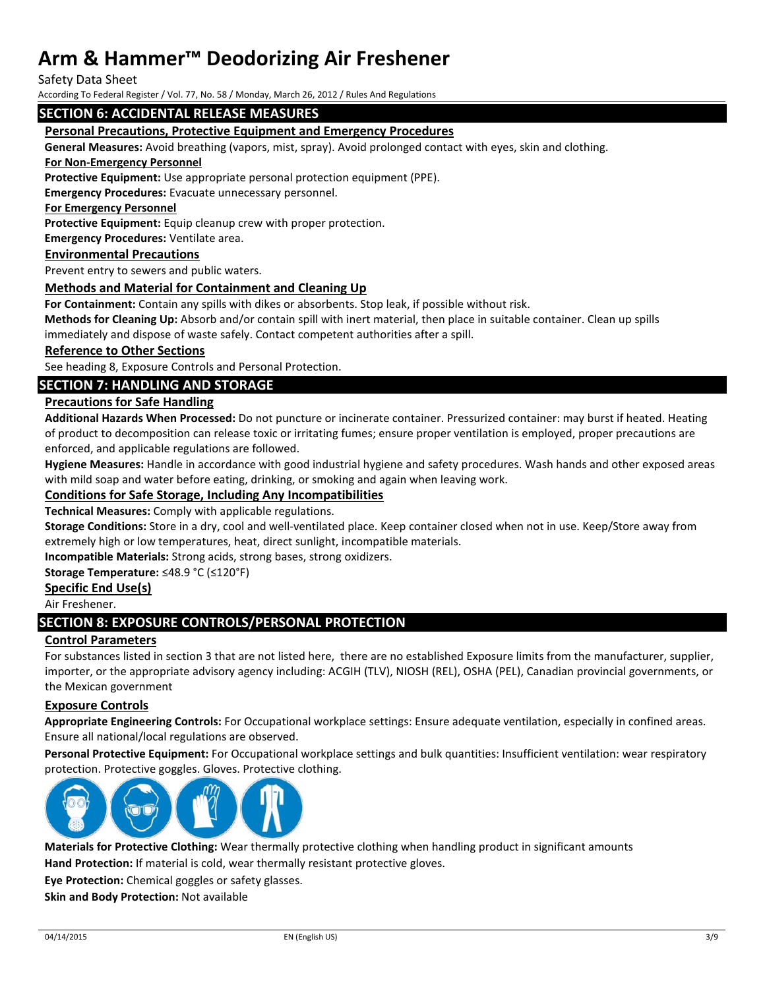Safety Data Sheet

According To Federal Register / Vol. 77, No. 58 / Monday, March 26, 2012 / Rules And Regulations

#### **SECTION 6: ACCIDENTAL RELEASE MEASURES**

#### **Personal Precautions, Protective Equipment and Emergency Procedures**

**General Measures:** Avoid breathing (vapors, mist, spray). Avoid prolonged contact with eyes, skin and clothing.

#### **For Non-Emergency Personnel**

**Protective Equipment:** Use appropriate personal protection equipment (PPE).

**Emergency Procedures:** Evacuate unnecessary personnel.

#### **For Emergency Personnel**

**Protective Equipment:** Equip cleanup crew with proper protection.

**Emergency Procedures:** Ventilate area.

#### **Environmental Precautions**

Prevent entry to sewers and public waters.

#### **Methods and Material for Containment and Cleaning Up**

**For Containment:** Contain any spills with dikes or absorbents. Stop leak, if possible without risk.

**Methods for Cleaning Up:** Absorb and/or contain spill with inert material, then place in suitable container. Clean up spills immediately and dispose of waste safely. Contact competent authorities after a spill.

#### **Reference to Other Sections**

See heading 8, Exposure Controls and Personal Protection.

#### **SECTION 7: HANDLING AND STORAGE**

#### **Precautions for Safe Handling**

**Additional Hazards When Processed:** Do not puncture or incinerate container. Pressurized container: may burst if heated. Heating of product to decomposition can release toxic or irritating fumes; ensure proper ventilation is employed, proper precautions are enforced, and applicable regulations are followed.

**Hygiene Measures:** Handle in accordance with good industrial hygiene and safety procedures. Wash hands and other exposed areas with mild soap and water before eating, drinking, or smoking and again when leaving work.

#### **Conditions for Safe Storage, Including Any Incompatibilities**

**Technical Measures:** Comply with applicable regulations.

**Storage Conditions:** Store in a dry, cool and well-ventilated place. Keep container closed when not in use. Keep/Store away from extremely high or low temperatures, heat, direct sunlight, incompatible materials.

**Incompatible Materials:** Strong acids, strong bases, strong oxidizers.

**Storage Temperature:** ≤48.9 °C (≤120°F)

#### **Specific End Use(s)**

Air Freshener.

### **SECTION 8: EXPOSURE CONTROLS/PERSONAL PROTECTION**

#### **Control Parameters**

For substances listed in section 3 that are not listed here, there are no established Exposure limits from the manufacturer, supplier, importer, or the appropriate advisory agency including: ACGIH (TLV), NIOSH (REL), OSHA (PEL), Canadian provincial governments, or the Mexican government

#### **Exposure Controls**

**Appropriate Engineering Controls:** For Occupational workplace settings: Ensure adequate ventilation, especially in confined areas. Ensure all national/local regulations are observed.

**Personal Protective Equipment:** For Occupational workplace settings and bulk quantities: Insufficient ventilation: wear respiratory protection. Protective goggles. Gloves. Protective clothing.



**Materials for Protective Clothing:** Wear thermally protective clothing when handling product in significant amounts **Hand Protection:** If material is cold, wear thermally resistant protective gloves.

**Eye Protection:** Chemical goggles or safety glasses.

**Skin and Body Protection:** Not available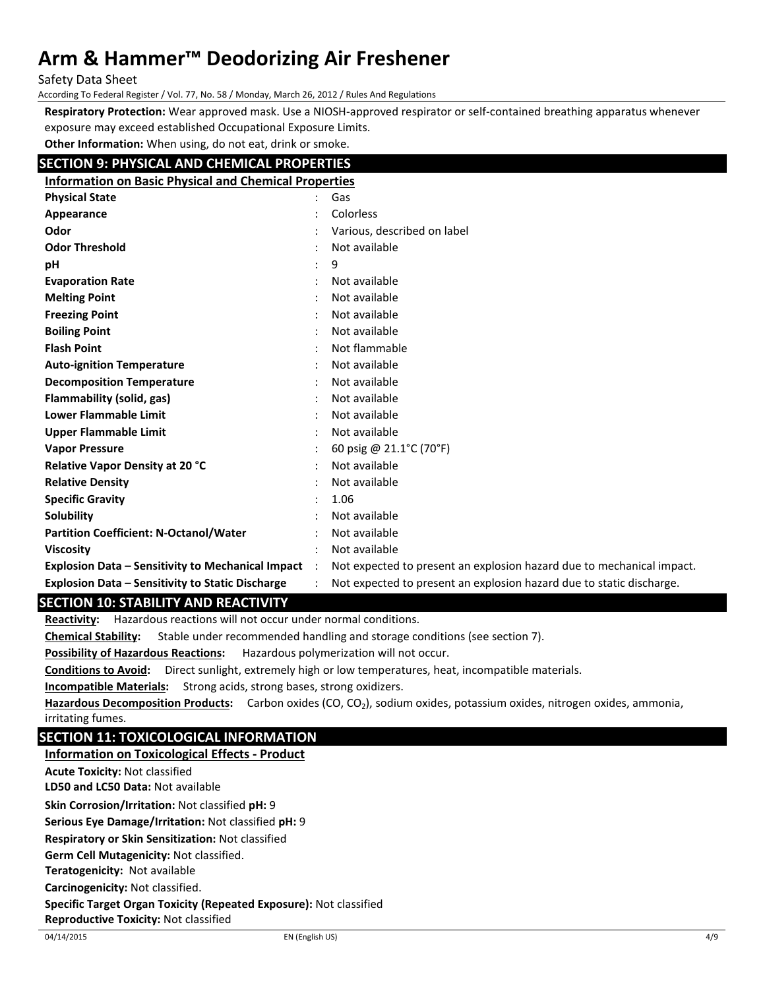Safety Data Sheet

According To Federal Register / Vol. 77, No. 58 / Monday, March 26, 2012 / Rules And Regulations

**Respiratory Protection:** Wear approved mask. Use a NIOSH-approved respirator or self-contained breathing apparatus whenever exposure may exceed established Occupational Exposure Limits.

**Other Information:** When using, do not eat, drink or smoke.

# **SECTION 9: PHYSICAL AND CHEMICAL PROPERTIES**

| <b>Information on Basic Physical and Chemical Properties</b> |                      |                                                                       |
|--------------------------------------------------------------|----------------------|-----------------------------------------------------------------------|
| <b>Physical State</b>                                        |                      | Gas                                                                   |
| Appearance                                                   |                      | Colorless                                                             |
| Odor                                                         |                      | Various, described on label                                           |
| <b>Odor Threshold</b>                                        |                      | Not available                                                         |
| рH                                                           |                      | 9                                                                     |
| <b>Evaporation Rate</b>                                      |                      | Not available                                                         |
| <b>Melting Point</b>                                         |                      | Not available                                                         |
| <b>Freezing Point</b>                                        |                      | Not available                                                         |
| <b>Boiling Point</b>                                         |                      | Not available                                                         |
| <b>Flash Point</b>                                           |                      | Not flammable                                                         |
| <b>Auto-ignition Temperature</b>                             |                      | Not available                                                         |
| <b>Decomposition Temperature</b>                             |                      | Not available                                                         |
| Flammability (solid, gas)                                    |                      | Not available                                                         |
| <b>Lower Flammable Limit</b>                                 |                      | Not available                                                         |
| Upper Flammable Limit                                        |                      | Not available                                                         |
| <b>Vapor Pressure</b>                                        |                      | 60 psig @ $21.1^{\circ}$ C (70 $^{\circ}$ F)                          |
| <b>Relative Vapor Density at 20 °C</b>                       |                      | Not available                                                         |
| <b>Relative Density</b>                                      |                      | Not available                                                         |
| <b>Specific Gravity</b>                                      |                      | 1.06                                                                  |
| Solubility                                                   |                      | Not available                                                         |
| <b>Partition Coefficient: N-Octanol/Water</b>                |                      | Not available                                                         |
| <b>Viscosity</b>                                             |                      | Not available                                                         |
| <b>Explosion Data – Sensitivity to Mechanical Impact</b>     | $\ddot{\phantom{1}}$ | Not expected to present an explosion hazard due to mechanical impact. |
| <b>Explosion Data - Sensitivity to Static Discharge</b>      |                      | Not expected to present an explosion hazard due to static discharge.  |

## **SECTION 10: STABILITY AND REACTIVITY**

**Reactivity:** Hazardous reactions will not occur under normal conditions.

**Chemical Stability:** Stable under recommended handling and storage conditions (see section 7).

**Possibility of Hazardous Reactions:** Hazardous polymerization will not occur.

**Conditions to Avoid:** Direct sunlight, extremely high or low temperatures, heat, incompatible materials.

**Incompatible Materials:** Strong acids, strong bases, strong oxidizers.

Hazardous Decomposition Products: Carbon oxides (CO, CO<sub>2</sub>), sodium oxides, potassium oxides, nitrogen oxides, ammonia, irritating fumes.

## **SECTION 11: TOXICOLOGICAL INFORMATION**

### **Information on Toxicological Effects - Product**

**Acute Toxicity:** Not classified

**LD50 and LC50 Data:** Not available

**Skin Corrosion/Irritation:** Not classified **pH:** 9

**Serious Eye Damage/Irritation:** Not classified **pH:** 9

**Respiratory or Skin Sensitization:** Not classified

**Germ Cell Mutagenicity:** Not classified.

**Teratogenicity:** Not available

**Carcinogenicity:** Not classified.

**Specific Target Organ Toxicity (Repeated Exposure):** Not classified

**Reproductive Toxicity:** Not classified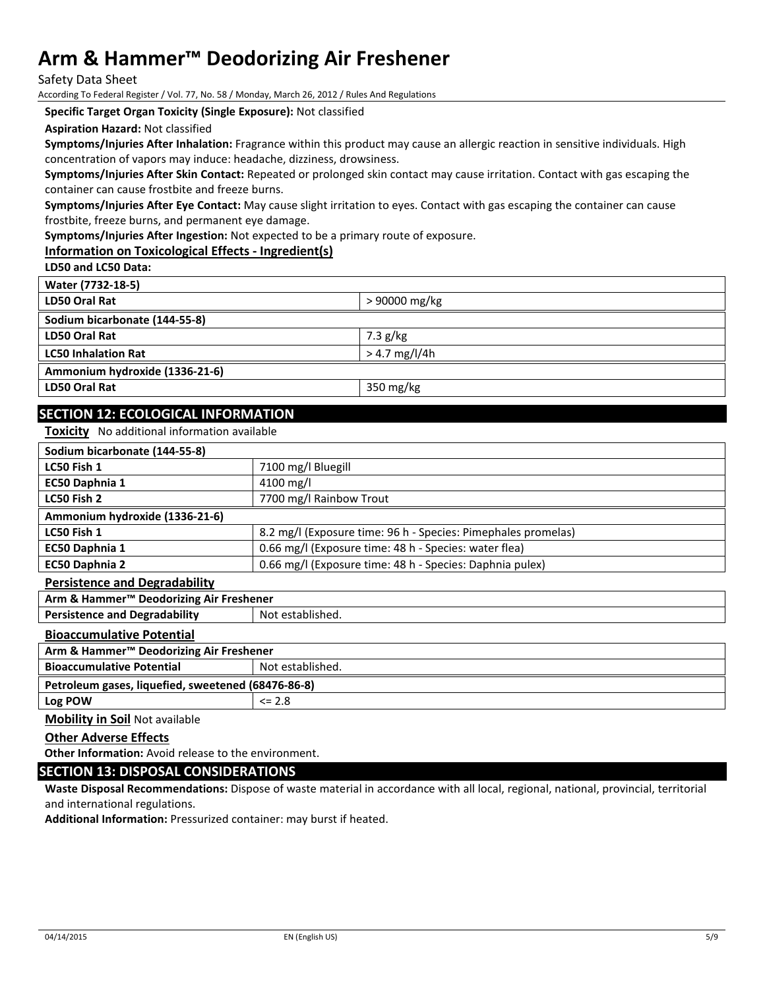Safety Data Sheet

According To Federal Register / Vol. 77, No. 58 / Monday, March 26, 2012 / Rules And Regulations

**Specific Target Organ Toxicity (Single Exposure):** Not classified

**Aspiration Hazard:** Not classified

**Symptoms/Injuries After Inhalation:** Fragrance within this product may cause an allergic reaction in sensitive individuals. High concentration of vapors may induce: headache, dizziness, drowsiness.

**Symptoms/Injuries After Skin Contact:** Repeated or prolonged skin contact may cause irritation. Contact with gas escaping the container can cause frostbite and freeze burns.

**Symptoms/Injuries After Eye Contact:** May cause slight irritation to eyes. Contact with gas escaping the container can cause frostbite, freeze burns, and permanent eye damage.

**Symptoms/Injuries After Ingestion:** Not expected to be a primary route of exposure.

### **Information on Toxicological Effects - Ingredient(s)**

**LD50 and LC50 Data:**

**Water (7732-18-5)**

| <b>WALEI</b> (1134-10-3)       |                 |
|--------------------------------|-----------------|
| LD50 Oral Rat                  | > 90000 mg/kg   |
| Sodium bicarbonate (144-55-8)  |                 |
| LD50 Oral Rat                  | $7.3$ g/kg      |
| <b>LC50 Inhalation Rat</b>     | $> 4.7$ mg/l/4h |
| Ammonium hydroxide (1336-21-6) |                 |
| LD50 Oral Rat                  | 350 mg/kg       |
|                                |                 |

# **SECTION 12: ECOLOGICAL INFORMATION**

**Toxicity** No additional information available

| Sodium bicarbonate (144-55-8)                       |                                                               |  |  |
|-----------------------------------------------------|---------------------------------------------------------------|--|--|
| LC50 Fish 1                                         | 7100 mg/l Bluegill                                            |  |  |
| EC50 Daphnia 1                                      | $4100 \,\mathrm{mg/l}$                                        |  |  |
| LC50 Fish 2                                         | 7700 mg/l Rainbow Trout                                       |  |  |
| Ammonium hydroxide (1336-21-6)                      |                                                               |  |  |
| LC50 Fish 1                                         | 8.2 mg/l (Exposure time: 96 h - Species: Pimephales promelas) |  |  |
| EC50 Daphnia 1                                      | 0.66 mg/l (Exposure time: 48 h - Species: water flea)         |  |  |
| <b>EC50 Daphnia 2</b>                               | 0.66 mg/l (Exposure time: 48 h - Species: Daphnia pulex)      |  |  |
| <b>Persistence and Degradability</b>                |                                                               |  |  |
| Arm & Hammer <sup>™</sup> Deodorizing Air Freshener |                                                               |  |  |
| <b>Persistence and Degradability</b>                | Not established.                                              |  |  |
| <b>Bioaccumulative Potential</b>                    |                                                               |  |  |
| Arm & Hammer <sup>™</sup> Deodorizing Air Freshener |                                                               |  |  |
|                                                     |                                                               |  |  |

| <b>Bioaccumulative Potential</b>                   | Not established. |  |
|----------------------------------------------------|------------------|--|
| Petroleum gases, liquefied, sweetened (68476-86-8) |                  |  |
| Log POW<br>$\leq$ 2.8                              |                  |  |

**Mobility in Soil** Not available

#### **Other Adverse Effects**

**Other Information:** Avoid release to the environment.

#### **SECTION 13: DISPOSAL CONSIDERATIONS**

**Waste Disposal Recommendations:** Dispose of waste material in accordance with all local, regional, national, provincial, territorial and international regulations.

**Additional Information:** Pressurized container: may burst if heated.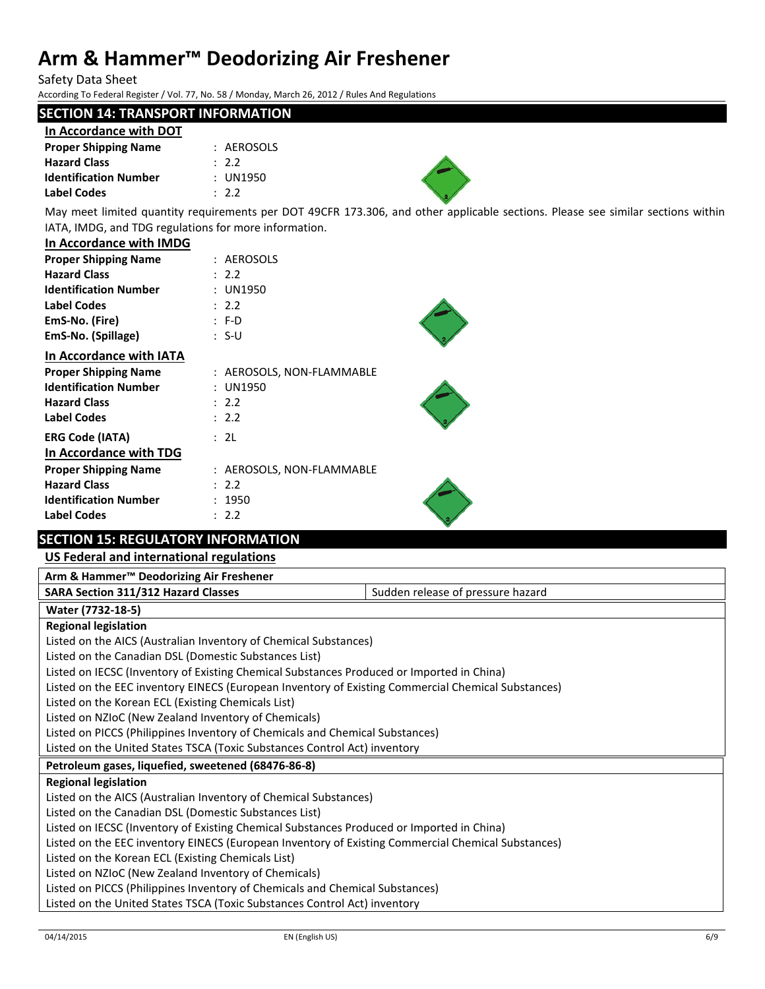Safety Data Sheet

According To Federal Register / Vol. 77, No. 58 / Monday, March 26, 2012 / Rules And Regulations

# **SECTION 14: TRANSPORT INFORMATION**

| In Accordance with DOT       |            |
|------------------------------|------------|
| <b>Proper Shipping Name</b>  | : AEROSOLS |
| <b>Hazard Class</b>          | .22        |
| <b>Identification Number</b> | : UN1950   |
| Label Codes                  | .22        |



May meet limited quantity requirements per DOT 49CFR 173.306, and other applicable sections. Please see similar sections within IATA, IMDG, and TDG regulations for more information.

#### **In Accordance with IMDG**

| <b>Proper Shipping Name</b>    | : AEROSOLS                |  |
|--------------------------------|---------------------------|--|
| <b>Hazard Class</b>            | : 2.2                     |  |
| <b>Identification Number</b>   | <b>UN1950</b>             |  |
| Label Codes                    | : 2.2                     |  |
| EmS-No. (Fire)                 | : F-D                     |  |
| EmS-No. (Spillage)             | : S-U                     |  |
| <b>In Accordance with IATA</b> |                           |  |
| <b>Proper Shipping Name</b>    | : AEROSOLS, NON-FLAMMABLE |  |
| <b>Identification Number</b>   | <b>UN1950</b>             |  |
| <b>Hazard Class</b>            | : 2.2                     |  |
| Label Codes                    | : 2.2                     |  |
| <b>ERG Code (IATA)</b>         | : 2L                      |  |
| In Accordance with TDG         |                           |  |
| <b>Proper Shipping Name</b>    | : AEROSOLS, NON-FLAMMABLE |  |
| <b>Hazard Class</b>            | : 2.2                     |  |
| <b>Identification Number</b>   | : 1950                    |  |
| <b>Label Codes</b>             | 2.2                       |  |
|                                |                           |  |

# **SECTION 15: REGULATORY INFORMATION**

## **US Federal and international regulations**

| Arm & Hammer <sup>™</sup> Deodorizing Air Freshener |  |
|-----------------------------------------------------|--|
|                                                     |  |

**SARA Section 311/312 Hazard Classes** SARA Sudden release of pressure hazard

## **Water (7732-18-5)**

#### **Regional legislation**

Listed on the AICS (Australian Inventory of Chemical Substances) Listed on the Canadian DSL (Domestic Substances List) Listed on IECSC (Inventory of Existing Chemical Substances Produced or Imported in China) Listed on the EEC inventory EINECS (European Inventory of Existing Commercial Chemical Substances) Listed on the Korean ECL (Existing Chemicals List) Listed on NZIoC (New Zealand Inventory of Chemicals) Listed on PICCS (Philippines Inventory of Chemicals and Chemical Substances) Listed on the United States TSCA (Toxic Substances Control Act) inventory **Petroleum gases, liquefied, sweetened (68476-86-8) Regional legislation** Listed on the AICS (Australian Inventory of Chemical Substances) Listed on the Canadian DSL (Domestic Substances List) Listed on IECSC (Inventory of Existing Chemical Substances Produced or Imported in China) Listed on the EEC inventory EINECS (European Inventory of Existing Commercial Chemical Substances) Listed on the Korean ECL (Existing Chemicals List) Listed on NZIoC (New Zealand Inventory of Chemicals) Listed on PICCS (Philippines Inventory of Chemicals and Chemical Substances) Listed on the United States TSCA (Toxic Substances Control Act) inventory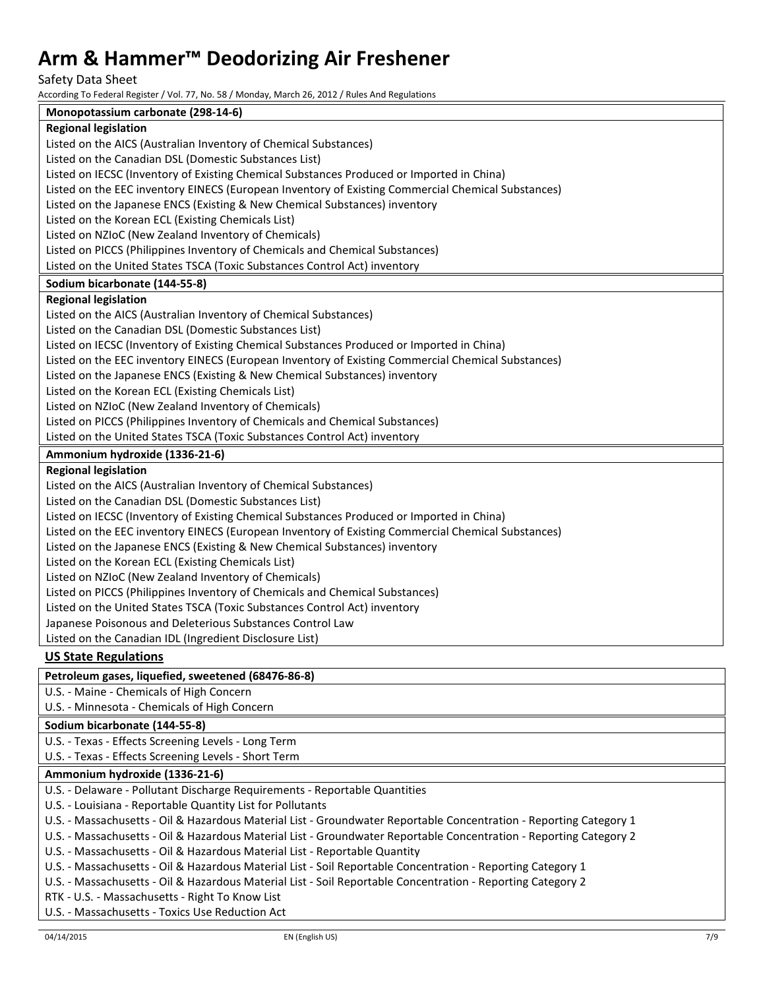Safety Data Sheet<br>According To Federal Registe

According To Federal Register / Vol. 77, No. 58 / Monday, March 26, 2012 / Rules And Regulations

| According To Federal Register / Vol. 77, No. 58 / Mionday, March 26, 2012 / Rules And Regulations                  |
|--------------------------------------------------------------------------------------------------------------------|
| Monopotassium carbonate (298-14-6)                                                                                 |
| <b>Regional legislation</b>                                                                                        |
| Listed on the AICS (Australian Inventory of Chemical Substances)                                                   |
| Listed on the Canadian DSL (Domestic Substances List)                                                              |
| Listed on IECSC (Inventory of Existing Chemical Substances Produced or Imported in China)                          |
| Listed on the EEC inventory EINECS (European Inventory of Existing Commercial Chemical Substances)                 |
| Listed on the Japanese ENCS (Existing & New Chemical Substances) inventory                                         |
| Listed on the Korean ECL (Existing Chemicals List)                                                                 |
| Listed on NZIoC (New Zealand Inventory of Chemicals)                                                               |
| Listed on PICCS (Philippines Inventory of Chemicals and Chemical Substances)                                       |
| Listed on the United States TSCA (Toxic Substances Control Act) inventory                                          |
| Sodium bicarbonate (144-55-8)                                                                                      |
| <b>Regional legislation</b>                                                                                        |
| Listed on the AICS (Australian Inventory of Chemical Substances)                                                   |
| Listed on the Canadian DSL (Domestic Substances List)                                                              |
| Listed on IECSC (Inventory of Existing Chemical Substances Produced or Imported in China)                          |
| Listed on the EEC inventory EINECS (European Inventory of Existing Commercial Chemical Substances)                 |
| Listed on the Japanese ENCS (Existing & New Chemical Substances) inventory                                         |
| Listed on the Korean ECL (Existing Chemicals List)                                                                 |
| Listed on NZIoC (New Zealand Inventory of Chemicals)                                                               |
| Listed on PICCS (Philippines Inventory of Chemicals and Chemical Substances)                                       |
| Listed on the United States TSCA (Toxic Substances Control Act) inventory                                          |
| Ammonium hydroxide (1336-21-6)                                                                                     |
| <b>Regional legislation</b>                                                                                        |
| Listed on the AICS (Australian Inventory of Chemical Substances)                                                   |
| Listed on the Canadian DSL (Domestic Substances List)                                                              |
| Listed on IECSC (Inventory of Existing Chemical Substances Produced or Imported in China)                          |
| Listed on the EEC inventory EINECS (European Inventory of Existing Commercial Chemical Substances)                 |
| Listed on the Japanese ENCS (Existing & New Chemical Substances) inventory                                         |
| Listed on the Korean ECL (Existing Chemicals List)                                                                 |
| Listed on NZIoC (New Zealand Inventory of Chemicals)                                                               |
| Listed on PICCS (Philippines Inventory of Chemicals and Chemical Substances)                                       |
|                                                                                                                    |
| Listed on the United States TSCA (Toxic Substances Control Act) inventory                                          |
| Japanese Poisonous and Deleterious Substances Control Law                                                          |
| Listed on the Canadian IDL (Ingredient Disclosure List)                                                            |
| <b>US State Regulations</b>                                                                                        |
| Petroleum gases, liquefied, sweetened (68476-86-8)                                                                 |
| U.S. - Maine - Chemicals of High Concern                                                                           |
| U.S. - Minnesota - Chemicals of High Concern                                                                       |
| Sodium bicarbonate (144-55-8)                                                                                      |
| U.S. - Texas - Effects Screening Levels - Long Term                                                                |
| U.S. - Texas - Effects Screening Levels - Short Term                                                               |
| Ammonium hydroxide (1336-21-6)                                                                                     |
| U.S. - Delaware - Pollutant Discharge Requirements - Reportable Quantities                                         |
| U.S. - Louisiana - Reportable Quantity List for Pollutants                                                         |
| U.S. - Massachusetts - Oil & Hazardous Material List - Groundwater Reportable Concentration - Reporting Category 1 |
| U.S. - Massachusetts - Oil & Hazardous Material List - Groundwater Reportable Concentration - Reporting Category 2 |
| U.S. - Massachusetts - Oil & Hazardous Material List - Reportable Quantity                                         |
| U.S. - Massachusetts - Oil & Hazardous Material List - Soil Reportable Concentration - Reporting Category 1        |
| U.S. - Massachusetts - Oil & Hazardous Material List - Soil Reportable Concentration - Reporting Category 2        |
| RTK - U.S. - Massachusetts - Right To Know List                                                                    |
|                                                                                                                    |

U.S. - Massachusetts - Toxics Use Reduction Act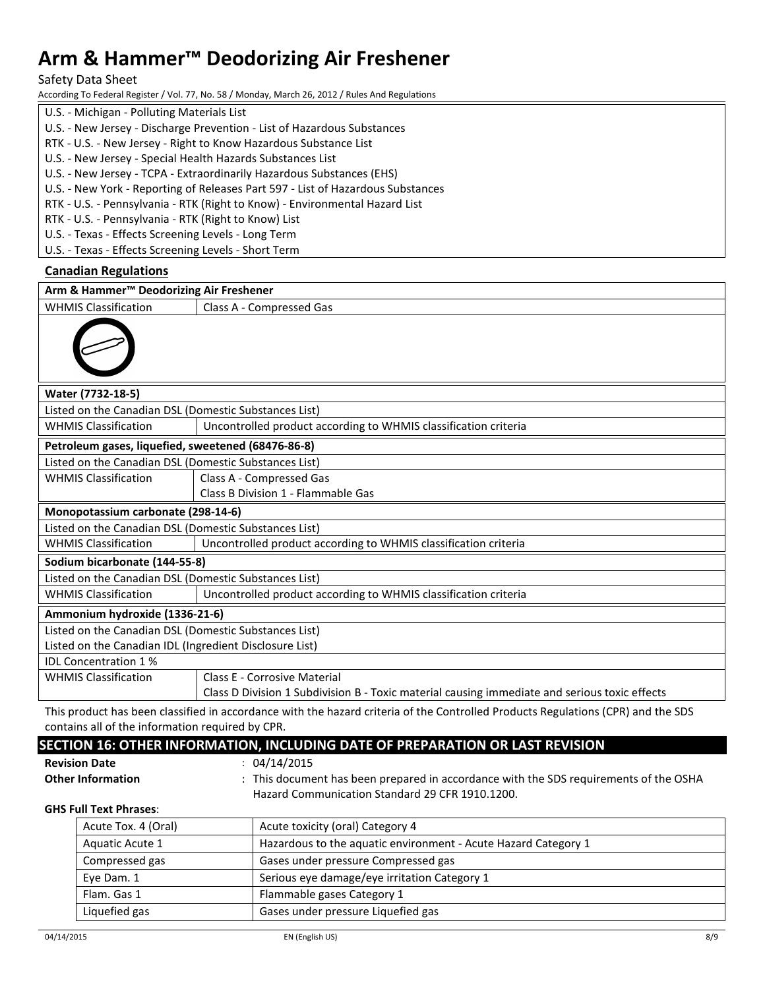Safety Data Sheet

According To Federal Register / Vol. 77, No. 58 / Monday, March 26, 2012 / Rules And Regulations

- U.S. Michigan Polluting Materials List
- U.S. New Jersey Discharge Prevention List of Hazardous Substances
- RTK U.S. New Jersey Right to Know Hazardous Substance List
- U.S. New Jersey Special Health Hazards Substances List
- U.S. New Jersey TCPA Extraordinarily Hazardous Substances (EHS)
- U.S. New York Reporting of Releases Part 597 List of Hazardous Substances
- RTK U.S. Pennsylvania RTK (Right to Know) Environmental Hazard List

RTK - U.S. - Pennsylvania - RTK (Right to Know) List

U.S. - Texas - Effects Screening Levels - Long Term

U.S. - Texas - Effects Screening Levels - Short Term

## **Canadian Regulations**

| Arm & Hammer <sup>™</sup> Deodorizing Air Freshener                                            |                                                                                                                       |  |
|------------------------------------------------------------------------------------------------|-----------------------------------------------------------------------------------------------------------------------|--|
| <b>WHMIS Classification</b>                                                                    | Class A - Compressed Gas                                                                                              |  |
|                                                                                                |                                                                                                                       |  |
| Water (7732-18-5)                                                                              |                                                                                                                       |  |
| Listed on the Canadian DSL (Domestic Substances List)                                          |                                                                                                                       |  |
| <b>WHMIS Classification</b>                                                                    | Uncontrolled product according to WHMIS classification criteria                                                       |  |
| Petroleum gases, liquefied, sweetened (68476-86-8)                                             |                                                                                                                       |  |
| Listed on the Canadian DSL (Domestic Substances List)                                          |                                                                                                                       |  |
| <b>WHMIS Classification</b>                                                                    | Class A - Compressed Gas                                                                                              |  |
|                                                                                                | Class B Division 1 - Flammable Gas                                                                                    |  |
| Monopotassium carbonate (298-14-6)                                                             |                                                                                                                       |  |
| Listed on the Canadian DSL (Domestic Substances List)                                          |                                                                                                                       |  |
| <b>WHMIS Classification</b><br>Uncontrolled product according to WHMIS classification criteria |                                                                                                                       |  |
| Sodium bicarbonate (144-55-8)                                                                  |                                                                                                                       |  |
| Listed on the Canadian DSL (Domestic Substances List)                                          |                                                                                                                       |  |
| <b>WHMIS Classification</b>                                                                    | Uncontrolled product according to WHMIS classification criteria                                                       |  |
| Ammonium hydroxide (1336-21-6)                                                                 |                                                                                                                       |  |
| Listed on the Canadian DSL (Domestic Substances List)                                          |                                                                                                                       |  |
| Listed on the Canadian IDL (Ingredient Disclosure List)                                        |                                                                                                                       |  |
| <b>IDL Concentration 1%</b>                                                                    |                                                                                                                       |  |
| <b>WHMIS Classification</b>                                                                    | <b>Class E - Corrosive Material</b>                                                                                   |  |
|                                                                                                | Class D Division 1 Subdivision B - Toxic material causing immediate and serious toxic effects                         |  |
|                                                                                                | <u>is a construction of the construction of the construction of the construction of the construction of the const</u> |  |

This product has been classified in accordance with the hazard criteria of the Controlled Products Regulations (CPR) and the SDS contains all of the information required by CPR.

# **SECTION 16: OTHER INFORMATION, INCLUDING DATE OF PREPARATION OR LAST REVISION**

**Revision Date** : 04/14/2015

**Other Information** : This document has been prepared in accordance with the SDS requirements of the OSHA Hazard Communication Standard 29 CFR 1910.1200.

**GHS Full Text Phrases**:

| Acute Tox. 4 (Oral) | Acute toxicity (oral) Category 4                               |
|---------------------|----------------------------------------------------------------|
| Aquatic Acute 1     | Hazardous to the aquatic environment - Acute Hazard Category 1 |
| Compressed gas      | Gases under pressure Compressed gas                            |
| Eye Dam. 1          | Serious eye damage/eye irritation Category 1                   |
| Flam. Gas 1         | Flammable gases Category 1                                     |
| Liquefied gas       | Gases under pressure Liquefied gas                             |